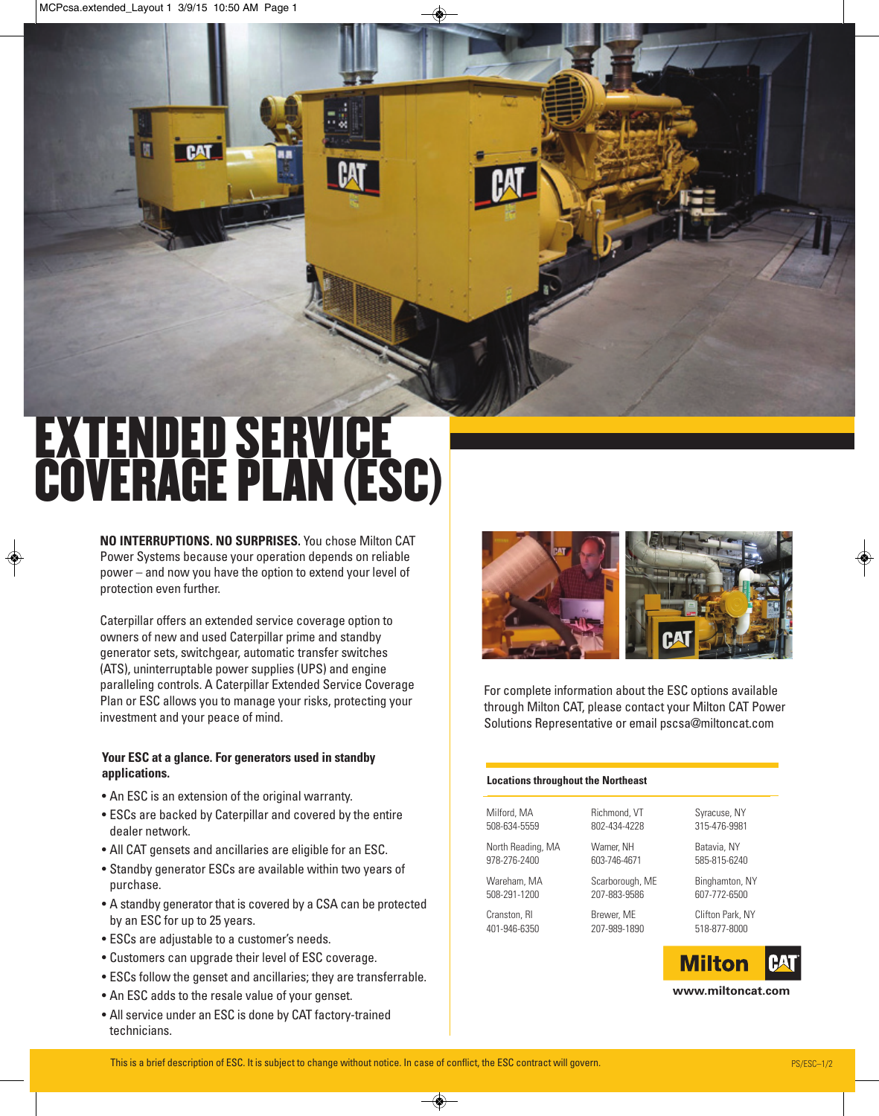# EXTENDED SERVICE COVERAGE PLAN (ESC)

**PAT** 

**NO INTERRUPTIONS. NO SURPRISES.** You chose Milton CAT Power Systems because your operation depends on reliable power – and now you have the option to extend your level of protection even further.

Caterpillar offers an extended service coverage option to owners of new and used Caterpillar prime and standby generator sets, switchgear, automatic transfer switches (ATS), uninterruptable power supplies (UPS) and engine paralleling controls. A Caterpillar Extended Service Coverage Plan or ESC allows you to manage your risks, protecting your investment and your peace of mind.

#### **Your ESC at a glance. For generators used in standby applications.**

- An ESC is an extension of the original warranty.
- ESCs are backed by Caterpillar and covered by the entire dealer network.
- All CAT gensets and ancillaries are eligible for an ESC.
- Standby generator ESCs are available within two years of purchase.
- A standby generator that is covered by a CSA can be protected by an ESC for up to 25 years.
- ESCs are adjustable to a customer's needs.
- Customers can upgrade their level of ESC coverage.
- ESCs follow the genset and ancillaries; they are transferrable.
- An ESC adds to the resale value of your genset.
- All service under an ESC is done by CAT factory-trained technicians.



For complete information about the ESC options available through Milton CAT, please contact your Milton CAT Power Solutions Representative or email pscsa@miltoncat.com

#### **Locations throughout the Northeast**

### Milford, MA 508-634-5559

North Reading, MA 978-276-2400

Wareham, MA 508-291-1200

Cranston, RI 401-946-6350 Warner, NH 603-746-4671 Scarborough, ME

Richmond, VT 802-434-4228

207-883-9586

### Brewer, ME 207-989-1890

607-772-6500 Clifton Park, NY

Syracuse, NY 315-476-9981 Batavia, NY 585-815-6240 Binghamton, NY

518-877-8000



**www.miltoncat.com**